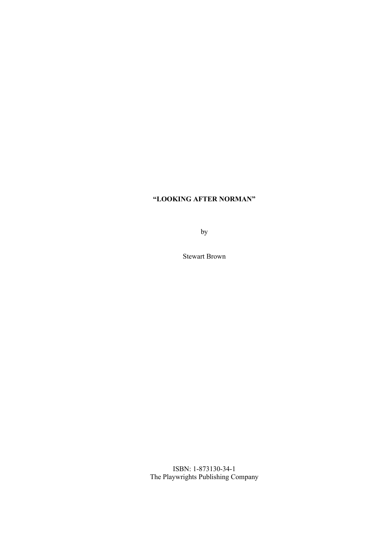# **"LOOKING AFTER NORMAN"**

by

Stewart Brown

ISBN: 1-873130-34-1 The Playwrights Publishing Company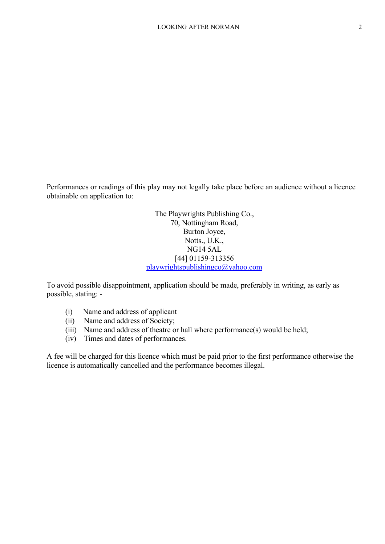Performances or readings of this play may not legally take place before an audience without a licence obtainable on application to:

> The Playwrights Publishing Co., 70, Nottingham Road, Burton Joyce, Notts., U.K., NG14 5AL [44] 01159-313356 [playwrightspublishingco@yahoo.com](mailto:playwrightspublishingco@yahoo.com)

To avoid possible disappointment, application should be made, preferably in writing, as early as possible, stating: -

- (i) Name and address of applicant
- (ii) Name and address of Society;
- (iii) Name and address of theatre or hall where performance(s) would be held;
- (iv) Times and dates of performances.

A fee will be charged for this licence which must be paid prior to the first performance otherwise the licence is automatically cancelled and the performance becomes illegal.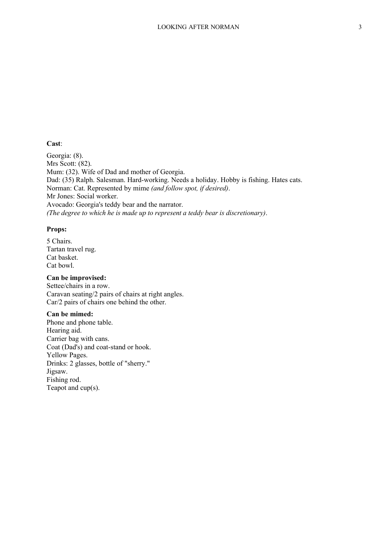### **Cast**:

Georgia: (8). Mrs Scott: (82). Mum: (32). Wife of Dad and mother of Georgia. Dad: (35) Ralph. Salesman. Hard-working. Needs a holiday. Hobby is fishing. Hates cats. Norman: Cat. Represented by mime *(and follow spot, if desired)*. Mr Jones: Social worker. Avocado: Georgia's teddy bear and the narrator. *(The degree to which he is made up to represent a teddy bear is discretionary)*.

## **Props:**

5 Chairs. Tartan travel rug. Cat basket. Cat bowl.

#### **Can be improvised:**

Settee/chairs in a row. Caravan seating/2 pairs of chairs at right angles. Car/2 pairs of chairs one behind the other.

# **Can be mimed:**

Phone and phone table. Hearing aid. Carrier bag with cans. Coat (Dad's) and coat-stand or hook. Yellow Pages. Drinks: 2 glasses, bottle of "sherry." Jigsaw. Fishing rod. Teapot and cup(s).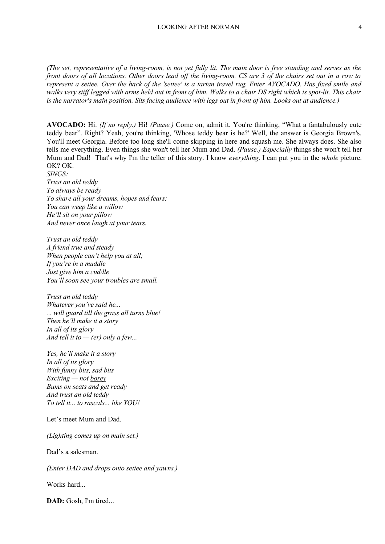*(The set, representative of a living-room, is not yet fully lit. The main door is free standing and serves as the front doors of all locations. Other doors lead off the living-room. CS are 3 of the chairs set out in a row to represent a settee. Over the back of the 'settee' is a tartan travel rug. Enter AVOCADO. Has fixed smile and walks very stiff legged with arms held out in front of him. Walks to a chair DS right which is spot-lit. This chair is the narrator's main position. Sits facing audience with legs out in front of him. Looks out at audience.)*

**AVOCADO:** Hi. *(If no reply.)* Hi! *(Pause.)* Come on, admit it. You're thinking, "What a fantabulously cute teddy bear". Right? Yeah, you're thinking, 'Whose teddy bear is he?' Well, the answer is Georgia Brown's. You'll meet Georgia. Before too long she'll come skipping in here and squash me. She always does. She also tells me everything. Even things she won't tell her Mum and Dad. *(Pause.) Especially* things she won't tell her Mum and Dad! That's why I'm the teller of this story. I know *everything*. I can put you in the *whole* picture. OK? OK.

*SINGS: Trust an old teddy To always be ready To share all your dreams, hopes and fears; You can weep like a willow He'll sit on your pillow And never once laugh at your tears.*

*Trust an old teddy A friend true and steady When people can't help you at all; If you're in a muddle Just give him a cuddle You'll soon see your troubles are small.*

*Trust an old teddy Whatever you've said he... ... will guard till the grass all turns blue! Then he'll make it a story In all of its glory And tell it to — (er) only a few...*

*Yes, he'll make it a story In all of its glory With funny bits, sad bits Exciting — not borey Bums on seats and get ready And trust an old teddy To tell it... to rascals... like YOU!*

Let's meet Mum and Dad.

*(Lighting comes up on main set.)*

Dad's a salesman.

*(Enter DAD and drops onto settee and yawns.)*

Works hard...

**DAD:** Gosh, I'm tired...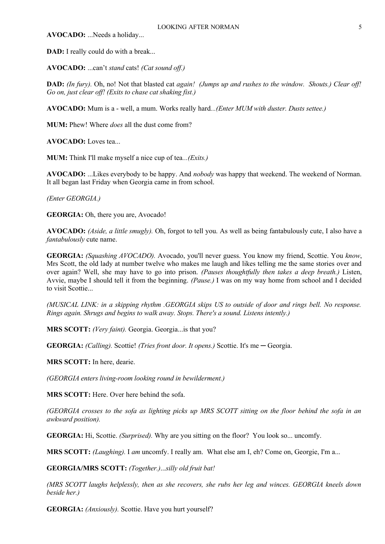**AVOCADO:** ...Needs a holiday...

**DAD:** I really could do with a break...

**AVOCADO:** ...can't *stand* cats! *(Cat sound off.)*

**DAD:** *(In fury).* Oh, no! Not that blasted cat *again! (Jumps up and rushes to the window. Shouts.) Clear off! Go on, just clear off! (Exits to chase cat shaking fist.)*

**AVOCADO:** Mum is a - well, a mum. Works really hard*...(Enter MUM with duster. Dusts settee.)*

**MUM:** Phew! Where *does* all the dust come from?

**AVOCADO:** Loves tea...

**MUM:** Think I'll make myself a nice cup of tea*...(Exits.)*

**AVOCADO:** ...Likes everybody to be happy. And *nobody* was happy that weekend. The weekend of Norman. It all began last Friday when Georgia came in from school.

*(Enter GEORGIA.)*

**GEORGIA:** Oh, there you are, Avocado!

**AVOCADO:** *(Aside, a little smugly).* Oh, forgot to tell you. As well as being fantabulously cute, I also have a *fantabulously* cute name.

**GEORGIA:** *(Squashing AVOCADO).* Avocado, you'll never guess. You know my friend, Scottie. You *know*, Mrs Scott, the old lady at number twelve who makes me laugh and likes telling me the same stories over and over again? Well, she may have to go into prison. *(Pauses thoughtfully then takes a deep breath.)* Listen, Avvie, maybe I should tell it from the beginning. *(Pause.)* I was on my way home from school and I decided to visit Scottie...

*(MUSICAL LINK: in a skipping rhythm .GEORGIA skips US to outside of door and rings bell. No response. Rings again. Shrugs and begins to walk away. Stops. There's a sound. Listens intently.)*

**MRS SCOTT:** *(Very faint).* Georgia. Georgia...is that you?

**GEORGIA:** *(Calling).* Scottie! *(Tries front door. It opens.)* Scottie. It's me ─ Georgia.

**MRS SCOTT:** In here, dearie.

*(GEORGIA enters living-room looking round in bewilderment.)*

**MRS SCOTT:** Here. Over here behind the sofa.

*(GEORGIA crosses to the sofa as lighting picks up MRS SCOTT sitting on the floor behind the sofa in an awkward position).*

**GEORGIA:** Hi, Scottie. *(Surprised).* Why are you sitting on the floor? You look so... uncomfy.

**MRS SCOTT:** *(Laughing).* I *am* uncomfy. I really am. What else am I, eh? Come on, Georgie, I'm a...

**GEORGIA/MRS SCOTT:** *(Together.)*...*silly old fruit bat!*

*(MRS SCOTT laughs helplessly, then as she recovers, she rubs her leg and winces. GEORGIA kneels down beside her.)*

**GEORGIA:** *(Anxiously).* Scottie. Have you hurt yourself?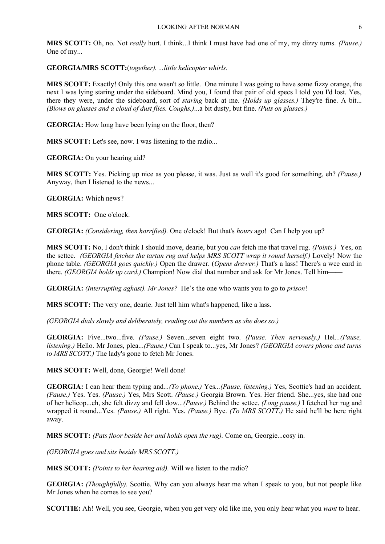**MRS SCOTT:** Oh, no. Not *really* hurt. I think...I think I must have had one of my, my dizzy turns. *(Pause.)* One of my...

**GEORGIA/MRS SCOTT:**(*together). ...little helicopter whirls.*

**MRS SCOTT:** Exactly! Only this one wasn't so little. One minute I was going to have some fizzy orange, the next I was lying staring under the sideboard. Mind you, I found that pair of old specs I told you I'd lost. Yes, there they were, under the sideboard, sort of *staring* back at me. *(Holds up glasses.)* They're fine. A bit... *(Blows on glasses and a cloud of dust flies. Coughs.)*...a bit dusty, but fine. *(Puts on glasses.)*

**GEORGIA:** How long have been lying on the floor, then?

**MRS SCOTT:** Let's see, now. I was listening to the radio...

**GEORGIA:** On your hearing aid?

**MRS SCOTT:** Yes. Picking up nice as you please, it was. Just as well it's good for something, eh? *(Pause.)* Anyway, then I listened to the news...

**GEORGIA:** Which news?

**MRS SCOTT:** One o'clock.

**GEORGIA:** *(Considering, then horrified).* One o'clock! But that's *hours* ago! Can I help you up?

**MRS SCOTT:** No, I don't think I should move, dearie, but you *can* fetch me that travel rug. *(Points.)* Yes, on the settee. *(GEORGIA fetches the tartan rug and helps MRS SCOTT wrap it round herself.)* Lovely! Now the phone table. *(GEORGIA goes quickly.)* Open the drawer. (*Opens drawer.)* That's a lass! There's a wee card in there. *(GEORGIA holds up card.)* Champion! Now dial that number and ask for Mr Jones. Tell him——

**GEORGIA:** *(Interrupting aghast). Mr Jones?* He's the one who wants you to go to *prison*!

**MRS SCOTT:** The very one, dearie. Just tell him what's happened, like a lass.

*(GEORGIA dials slowly and deliberately, reading out the numbers as she does so.)*

**GEORGIA:** Five...two...five. *(Pause.)* Seven...seven eight two. *(Pause. Then nervously.)* Hel*...(Pause, listening.)* Hello. Mr Jones, plea...*(Pause.)* Can I speak to...yes, Mr Jones? *(GEORGIA covers phone and turns to MRS SCOTT.)* The lady's gone to fetch Mr Jones.

**MRS SCOTT:** Well, done, Georgie! Well done!

**GEORGIA:** I can hear them typing and*...(To phone.)* Yes*...(Pause, listening.)* Yes, Scottie's had an accident. *(Pause.)* Yes. Yes. *(Pause.)* Yes, Mrs Scott. *(Pause.)* Georgia Brown. Yes. Her friend. She...yes, she had one of her helicop...eh, she felt dizzy and fell dow*...(Pause.)* Behind the settee. *(Long pause.)* I fetched her rug and wrapped it round...Yes. *(Pause.)* All right. Yes. *(Pause.)* Bye. *(To MRS SCOTT.)* He said he'll be here right away.

**MRS SCOTT:** *(Pats floor beside her and holds open the rug).* Come on, Georgie...cosy in.

*(GEORGIA goes and sits beside MRS SCOTT.)*

**MRS SCOTT:** *(Points to her hearing aid).* Will we listen to the radio?

**GEORGIA:** *(Thoughtfully).* Scottie. Why can you always hear me when I speak to you, but not people like Mr Jones when he comes to see you?

**SCOTTIE:** Ah! Well, you see, Georgie, when you get very old like me, you only hear what you *want* to hear.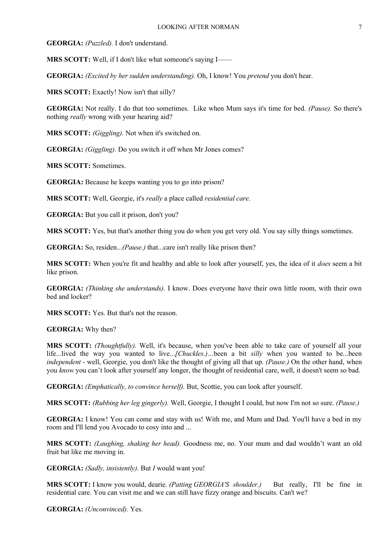**GEORGIA:** *(Puzzled).* I don't understand.

**MRS SCOTT:** Well, if I don't like what someone's saying I—

**GEORGIA:** *(Excited by her sudden understanding).* Oh, I know! You *pretend* you don't hear.

**MRS SCOTT:** Exactly! Now isn't that silly?

**GEORGIA:** Not really. I do that too sometimes. Like when Mum says it's time for bed. *(Pause).* So there's nothing *really* wrong with your hearing aid?

**MRS SCOTT:** *(Giggling).* Not when it's switched on.

**GEORGIA:** *(Giggling).* Do you switch it off when Mr Jones comes?

**MRS SCOTT:** Sometimes.

**GEORGIA:** Because he keeps wanting you to go into prison?

**MRS SCOTT:** Well, Georgie, it's *really* a place called *residential care*.

**GEORGIA:** But you call it prison, don't you?

**MRS SCOTT:** Yes, but that's another thing you do when you get very old. You say silly things sometimes.

**GEORGIA:** So, residen...*(Pause.)* that...care isn't really like prison then?

**MRS SCOTT:** When you're fit and healthy and able to look after yourself, yes, the idea of it *does* seem a bit like prison.

**GEORGIA:** *(Thinking she understands).* I know. Does everyone have their own little room, with their own bed and locker?

**MRS SCOTT:** Yes. But that's not the reason.

**GEORGIA:** Why then?

**MRS SCOTT:** *(Thoughtfully).* Well, it's because, when you've been able to take care of yourself all your life...lived the way you wanted to live...*[Chuckles.)…*been a bit *silly* when you wanted to be...been *independent* - well, Georgie, you don't like the thought of giving all that up. *(Pause.)* On the other hand, when you *know* you can't look after yourself any longer, the thought of residential care, well, it doesn't seem so bad.

**GEORGIA:** *(Emphatically, to convince herself).* But, Scottie, you can look after yourself.

**MRS SCOTT:** *(Rubbing her leg gingerly).* Well, Georgie, I thought I could, but now I'm not so sure. *(Pause.)*

**GEORGIA:** I know! You can come and stay with us! With me, and Mum and Dad. You'll have a bed in my room and I'll lend you Avocado to cosy into and ...

**MRS SCOTT:** *(Laughing, shaking her head).* Goodness me, no. Your mum and dad wouldn't want an old fruit bat like me moving in.

**GEORGIA:** *(Sadly, insistently).* But *I* would want you!

**MRS SCOTT:** I know you would, dearie. *(Patting GEORGIA'S shoulder.)* But really, I'll be fine in residential care. You can visit me and we can still have fizzy orange and biscuits. Can't we?

**GEORGIA:** *(Unconvinced).* Yes.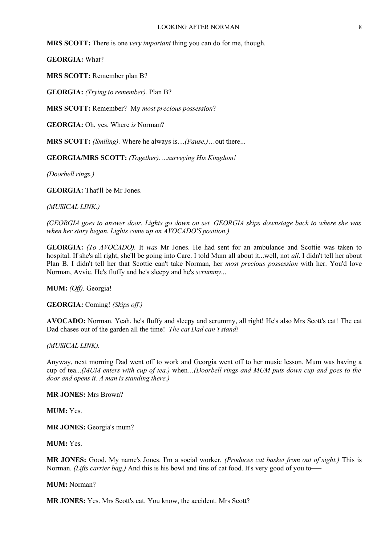#### LOOKING AFTER NORMAN

**MRS SCOTT:** There is one *very important* thing you can do for me, though.

**GEORGIA:** What?

**MRS SCOTT:** Remember plan B?

**GEORGIA:** *(Trying to remember).* Plan B?

**MRS SCOTT:** Remember? My *most precious possession*?

**GEORGIA:** Oh, yes. Where *is* Norman?

**MRS SCOTT:** *(Smiling).* Where he always is…*(Pause.)*…out there...

**GEORGIA/MRS SCOTT:** *(Together). ...surveying His Kingdom!*

*(Doorbell rings.)*

**GEORGIA:** That'll be Mr Jones.

*(MUSICAL LINK.)*

*(GEORGIA goes to answer door. Lights go down on set. GEORGIA skips downstage back to where she was when her story began. Lights come up on AVOCADO'S position.)*

**GEORGIA:** *(To AVOCADO).* It *was* Mr Jones. He had sent for an ambulance and Scottie was taken to hospital. If she's all right, she'll be going into Care. I told Mum all about it...well, not *all*. I didn't tell her about Plan B. I didn't tell her that Scottie can't take Norman, her *most precious possession* with her. You'd love Norman, Avvie. He's fluffy and he's sleepy and he's *scrummy*...

**MUM:** *(Off).* Georgia!

**GEORGIA:** Coming! *(Skips off.)*

**AVOCADO:** Norman. Yeah, he's fluffy and sleepy and scrummy, all right! He's also Mrs Scott's cat! The cat Dad chases out of the garden all the time! *The cat Dad can't stand!*

*(MUSICAL LINK).*

Anyway, next morning Dad went off to work and Georgia went off to her music lesson. Mum was having a cup of tea...*(MUM enters with cup of tea.)* when*…(Doorbell rings and MUM puts down cup and goes to the door and opens it. A man is standing there.)*

**MR JONES:** Mrs Brown?

**MUM:** Yes.

**MR JONES:** Georgia's mum?

**MUM:** Yes.

**MR JONES:** Good. My name's Jones. I'm a social worker. *(Produces cat basket from out of sight.)* This is Norman. *(Lifts carrier bag.)* And this is his bowl and tins of cat food. It's very good of you to—

**MUM:** Norman?

**MR JONES:** Yes. Mrs Scott's cat. You know, the accident. Mrs Scott?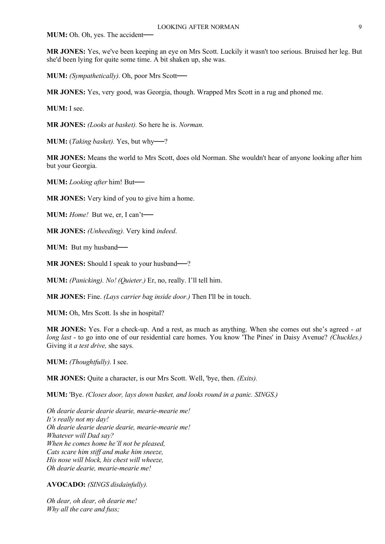**MUM:** Oh. Oh, yes. The accident-

**MR JONES:** Yes, we've been keeping an eye on Mrs Scott. Luckily it wasn't too serious. Bruised her leg. But she'd been lying for quite some time. A bit shaken up, she was.

**MUM:** *(Sympathetically)*. Oh, poor Mrs Scott—

**MR JONES:** Yes, very good, was Georgia, though. Wrapped Mrs Scott in a rug and phoned me.

**MUM:** I see.

**MR JONES:** *(Looks at basket).* So here he is. *Norman*.

MUM: (Taking basket). Yes, but why-"?

**MR JONES:** Means the world to Mrs Scott, does old Norman. She wouldn't hear of anyone looking after him but your Georgia.

**MUM:** *Looking after* him! But──

**MR JONES:** Very kind of you to give him a home.

**MUM:** *Home!* But we, er, I can't—

**MR JONES:** *(Unheeding).* Very kind *indeed*.

**MUM:** But my husband—

**MR JONES:** Should I speak to your husband—?

**MUM:** *(Panicking). No! (Quieter.)* Er, no, really. I'll tell him.

**MR JONES:** Fine. *(Lays carrier bag inside door.)* Then I'll be in touch.

**MUM:** Oh, Mrs Scott. Is she in hospital?

**MR JONES:** Yes. For a check-up. And a rest, as much as anything. When she comes out she's agreed - *at long last* - to go into one of our residential care homes. You know 'The Pines' in Daisy Avenue? *(Chuckles.)* Giving it *a test drive,* she says.

**MUM:** *(Thoughtfully).* I see.

**MR JONES:** Quite a character, is our Mrs Scott. Well, 'bye, then. *(Exits).*

**MUM:** 'Bye. *(Closes door, lays down basket, and looks round in a panic. SINGS.)*

*Oh dearie dearie dearie dearie, mearie-mearie me! It's really not my day! Oh dearie dearie dearie dearie, mearie-mearie me! Whatever will Dad say? When he comes home he'll not be pleased, Cats scare him stiff and make him sneeze, His nose will block, his chest will wheeze, Oh dearie dearie, mearie-mearie me!*

# **AVOCADO:** *(SINGS disdainfully).*

*Oh dear, oh dear, oh dearie me! Why all the care and fuss;*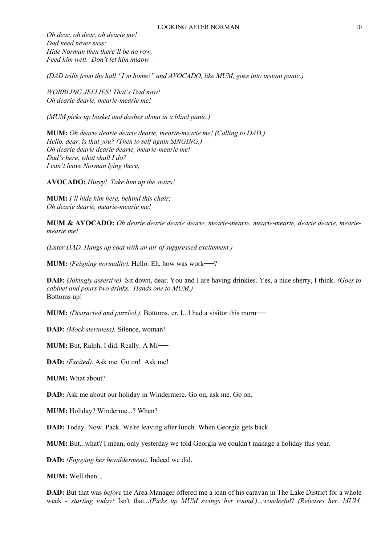*Oh dear, oh dear, oh dearie me! Dad need never suss; Hide Norman then there'll be no row, Feed him well. Don't let him miaow—*

*(DAD trills from the hall "I'm home!" and AVOCADO, like MUM, goes into instant panic.)*

*WOBBLING JELLIES! That's Dad now! Oh dearie dearie, mearie-mearie me!*

*(MUM picks up basket and dashes about in a blind panic.)*

**MUM:** *Oh dearie dearie dearie dearie, mearie-mearie me! (Calling to DAD.) Hello, dear, is that you? (Then to self again SINGING.) Oh dearie dearie dearie dearie, mearie-mearie me! Dad's here, what shall I do? I can't leave Norman lying there,*

**AVOCADO:** *Hurry! Take him up the stairs!*

**MUM:** *I'll hide him here, behind this chair; Oh dearie dearie, mearie-mearie me!*

**MUM & AVOCADO:** *Oh dearie dearie dearie dearie, mearie-mearie, mearie-mearie, dearie dearie, meariemearie me!*

*(Enter DAD. Hangs up coat with an air of suppressed excitement.)*

**MUM:** *(Feigning normality)*. Hello. Eh, how was work—?

**DAD:** *(Jokingly assertive).* Sit down, dear. You and I are having drinkies. Yes, a nice sherry, I think. *(Goes to cabinet and pours two drinks. Hands one to MUM.)* Bottoms up!

**MUM:** *(Distracted and puzzled.).* Bottoms, er, I...I had a visitor this morn—

**DAD:** *(Mock sternness).* Silence, woman!

**MUM:** But, Ralph, I did. Really. A Mr-

**DAD:** *(Excited).* Ask me. Go on! Ask me!

**MUM:** What about?

**DAD:** Ask me about our holiday in Windermere. Go on, ask me. Go on.

**MUM:** Holiday? Winderme...? When?

**DAD:** Today. Now. Pack. We're leaving after lunch. When Georgia gets back.

**MUM:** But...what? I mean, only yesterday we told Georgia we couldn't manage a holiday this year.

**DAD:** *(Enjoying her bewilderment).* Indeed we did.

**MUM:** Well then...

**DAD:** But that was *before* the Area Manager offered me a loan of his caravan in The Lake District for a whole week - *starting today!* Isn't that...*(Picks up MUM swings her round.)...wonderful*? *(Releases her. MUM,*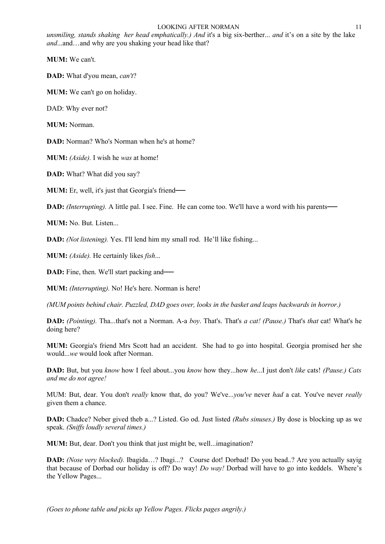## LOOKING AFTER NORMAN

*unsmiling, stands shaking her head emphatically.) And it's a big six-berther... <i>and* it's on a site by the lake *and*...and…and why are you shaking your head like that?

**MUM:** We can't.

**DAD:** What d'you mean, *can't*?

**MUM:** We can't go on holiday.

DAD: Why ever not?

**MUM:** Norman.

**DAD:** Norman? Who's Norman when he's at home?

**MUM:** *(Aside).* I wish he *was* at home!

**DAD:** What? What did you say?

**MUM:** Er, well, it's just that Georgia's friend—

**DAD:** *(Interrupting).* A little pal. I see. Fine. He can come too. We'll have a word with his parents—

**MUM:** No. But. Listen...

**DAD:** *(Not listening)*. Yes. I'll lend him my small rod. He'll like fishing...

**MUM:** *(Aside).* He certainly likes *fish*...

**DAD:** Fine, then. We'll start packing and—

**MUM:** *(Interrupting).* No! He's here. Norman is here!

*(MUM points behind chair. Puzzled, DAD goes over, looks in the basket and leaps backwards in horror.)*

**DAD:** *(Pointing).* Tha...that's not a Norman. A-a *boy*. That's. That's *a cat! (Pause.)* That's *that* cat! What's he doing here?

**MUM:** Georgia's friend Mrs Scott had an accident. She had to go into hospital. Georgia promised her she would...*we* would look after Norman.

**DAD:** But, but you *know* how I feel about...you *know* how they...how *he*...I just don't *like* cats! *(Pause.) Cats and me do not agree!*

MUM: But, dear. You don't *really* know that, do you? We've...*you've* never *had* a cat. You've never *really* given them a chance.

**DAD:** Chadce? Neber gived theb a...? Listed. Go od. Just listed *(Rubs sinuses.)* By dose is blocking up as we speak. *(Sniffs loudly several times.)*

**MUM:** But, dear. Don't you think that just might be, well...imagination?

**DAD:** *(Nose very blocked).* Ibagida…? Ibagi...? Course dot! Dorbad! Do you bead..? Are you actually sayig that because of Dorbad our holiday is off? Do way! *Do way!* Dorbad will have to go into keddels. Where's the Yellow Pages...

11